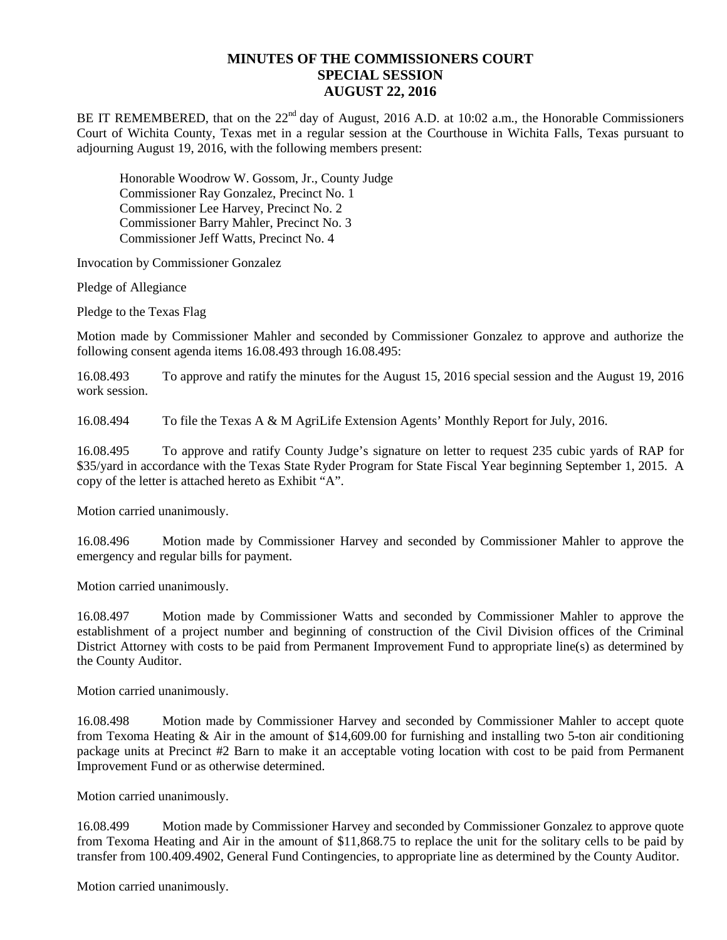## **MINUTES OF THE COMMISSIONERS COURT SPECIAL SESSION AUGUST 22, 2016**

BE IT REMEMBERED, that on the 22<sup>nd</sup> day of August, 2016 A.D. at 10:02 a.m., the Honorable Commissioners Court of Wichita County, Texas met in a regular session at the Courthouse in Wichita Falls, Texas pursuant to adjourning August 19, 2016, with the following members present:

Honorable Woodrow W. Gossom, Jr., County Judge Commissioner Ray Gonzalez, Precinct No. 1 Commissioner Lee Harvey, Precinct No. 2 Commissioner Barry Mahler, Precinct No. 3 Commissioner Jeff Watts, Precinct No. 4

Invocation by Commissioner Gonzalez

Pledge of Allegiance

Pledge to the Texas Flag

Motion made by Commissioner Mahler and seconded by Commissioner Gonzalez to approve and authorize the following consent agenda items 16.08.493 through 16.08.495:

16.08.493 To approve and ratify the minutes for the August 15, 2016 special session and the August 19, 2016 work session.

16.08.494 To file the Texas A & M AgriLife Extension Agents' Monthly Report for July, 2016.

16.08.495 To approve and ratify County Judge's signature on letter to request 235 cubic yards of RAP for \$35/yard in accordance with the Texas State Ryder Program for State Fiscal Year beginning September 1, 2015. A copy of the letter is attached hereto as Exhibit "A".

Motion carried unanimously.

16.08.496 Motion made by Commissioner Harvey and seconded by Commissioner Mahler to approve the emergency and regular bills for payment.

Motion carried unanimously.

16.08.497 Motion made by Commissioner Watts and seconded by Commissioner Mahler to approve the establishment of a project number and beginning of construction of the Civil Division offices of the Criminal District Attorney with costs to be paid from Permanent Improvement Fund to appropriate line(s) as determined by the County Auditor.

Motion carried unanimously.

16.08.498 Motion made by Commissioner Harvey and seconded by Commissioner Mahler to accept quote from Texoma Heating & Air in the amount of \$14,609.00 for furnishing and installing two 5-ton air conditioning package units at Precinct #2 Barn to make it an acceptable voting location with cost to be paid from Permanent Improvement Fund or as otherwise determined.

Motion carried unanimously.

16.08.499 Motion made by Commissioner Harvey and seconded by Commissioner Gonzalez to approve quote from Texoma Heating and Air in the amount of \$11,868.75 to replace the unit for the solitary cells to be paid by transfer from 100.409.4902, General Fund Contingencies, to appropriate line as determined by the County Auditor.

Motion carried unanimously.